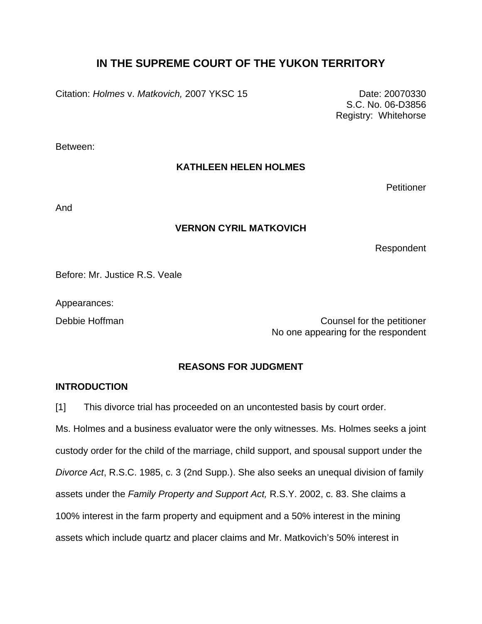## **IN THE SUPREME COURT OF THE YUKON TERRITORY**

Citation: *Holmes v. Matkovich,* 2007 YKSC 15 Date: 20070330

S.C. No. 06-D3856 Registry: Whitehorse

Between:

## **KATHLEEN HELEN HOLMES**

**Petitioner** 

And

## **VERNON CYRIL MATKOVICH**

Respondent

Before: Mr. Justice R.S. Veale

Appearances:

Debbie Hoffman Counsel for the petitioner No one appearing for the respondent

## **REASONS FOR JUDGMENT**

## **INTRODUCTION**

[1] This divorce trial has proceeded on an uncontested basis by court order.

Ms. Holmes and a business evaluator were the only witnesses. Ms. Holmes seeks a joint custody order for the child of the marriage, child support, and spousal support under the *Divorce Act*, R.S.C. 1985, c. 3 (2nd Supp.). She also seeks an unequal division of family assets under the *Family Property and Support Act,* R.S.Y. 2002, c. 83. She claims a 100% interest in the farm property and equipment and a 50% interest in the mining assets which include quartz and placer claims and Mr. Matkovich's 50% interest in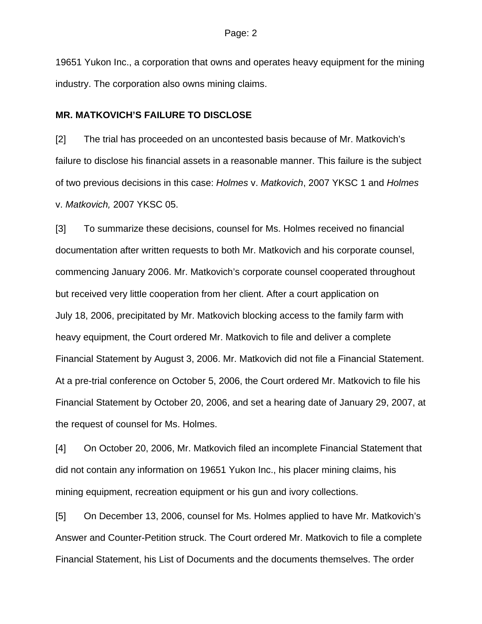19651 Yukon Inc., a corporation that owns and operates heavy equipment for the mining industry. The corporation also owns mining claims.

#### **MR. MATKOVICH'S FAILURE TO DISCLOSE**

[2] The trial has proceeded on an uncontested basis because of Mr. Matkovich's failure to disclose his financial assets in a reasonable manner. This failure is the subject of two previous decisions in this case: *Holmes* v. *Matkovich*, 2007 YKSC 1 and *Holmes*  v. *Matkovich,* 2007 YKSC 05.

[3] To summarize these decisions, counsel for Ms. Holmes received no financial documentation after written requests to both Mr. Matkovich and his corporate counsel, commencing January 2006. Mr. Matkovich's corporate counsel cooperated throughout but received very little cooperation from her client. After a court application on July 18, 2006, precipitated by Mr. Matkovich blocking access to the family farm with heavy equipment, the Court ordered Mr. Matkovich to file and deliver a complete Financial Statement by August 3, 2006. Mr. Matkovich did not file a Financial Statement. At a pre-trial conference on October 5, 2006, the Court ordered Mr. Matkovich to file his Financial Statement by October 20, 2006, and set a hearing date of January 29, 2007, at the request of counsel for Ms. Holmes.

[4] On October 20, 2006, Mr. Matkovich filed an incomplete Financial Statement that did not contain any information on 19651 Yukon Inc., his placer mining claims, his mining equipment, recreation equipment or his gun and ivory collections.

[5] On December 13, 2006, counsel for Ms. Holmes applied to have Mr. Matkovich's Answer and Counter-Petition struck. The Court ordered Mr. Matkovich to file a complete Financial Statement, his List of Documents and the documents themselves. The order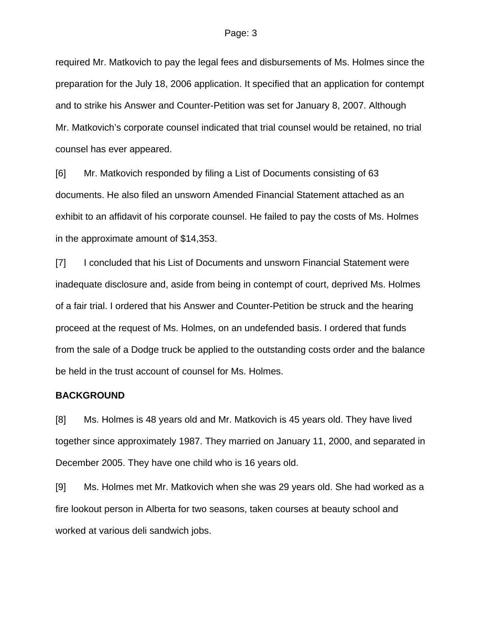required Mr. Matkovich to pay the legal fees and disbursements of Ms. Holmes since the preparation for the July 18, 2006 application. It specified that an application for contempt and to strike his Answer and Counter-Petition was set for January 8, 2007. Although Mr. Matkovich's corporate counsel indicated that trial counsel would be retained, no trial counsel has ever appeared.

[6] Mr. Matkovich responded by filing a List of Documents consisting of 63 documents. He also filed an unsworn Amended Financial Statement attached as an exhibit to an affidavit of his corporate counsel. He failed to pay the costs of Ms. Holmes in the approximate amount of \$14,353.

[7] I concluded that his List of Documents and unsworn Financial Statement were inadequate disclosure and, aside from being in contempt of court, deprived Ms. Holmes of a fair trial. I ordered that his Answer and Counter-Petition be struck and the hearing proceed at the request of Ms. Holmes, on an undefended basis. I ordered that funds from the sale of a Dodge truck be applied to the outstanding costs order and the balance be held in the trust account of counsel for Ms. Holmes.

#### **BACKGROUND**

[8] Ms. Holmes is 48 years old and Mr. Matkovich is 45 years old. They have lived together since approximately 1987. They married on January 11, 2000, and separated in December 2005. They have one child who is 16 years old.

[9] Ms. Holmes met Mr. Matkovich when she was 29 years old. She had worked as a fire lookout person in Alberta for two seasons, taken courses at beauty school and worked at various deli sandwich jobs.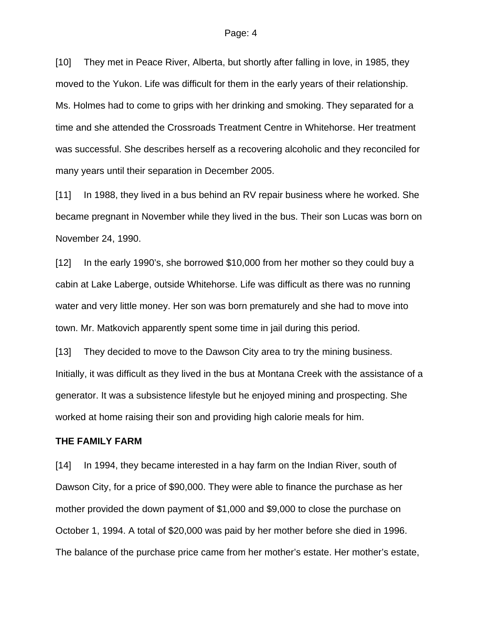[10] They met in Peace River, Alberta, but shortly after falling in love, in 1985, they moved to the Yukon. Life was difficult for them in the early years of their relationship. Ms. Holmes had to come to grips with her drinking and smoking. They separated for a time and she attended the Crossroads Treatment Centre in Whitehorse. Her treatment was successful. She describes herself as a recovering alcoholic and they reconciled for many years until their separation in December 2005.

[11] In 1988, they lived in a bus behind an RV repair business where he worked. She became pregnant in November while they lived in the bus. Their son Lucas was born on November 24, 1990.

[12] In the early 1990's, she borrowed \$10,000 from her mother so they could buy a cabin at Lake Laberge, outside Whitehorse. Life was difficult as there was no running water and very little money. Her son was born prematurely and she had to move into town. Mr. Matkovich apparently spent some time in jail during this period.

[13] They decided to move to the Dawson City area to try the mining business. Initially, it was difficult as they lived in the bus at Montana Creek with the assistance of a generator. It was a subsistence lifestyle but he enjoyed mining and prospecting. She worked at home raising their son and providing high calorie meals for him.

#### **THE FAMILY FARM**

[14] In 1994, they became interested in a hay farm on the Indian River, south of Dawson City, for a price of \$90,000. They were able to finance the purchase as her mother provided the down payment of \$1,000 and \$9,000 to close the purchase on October 1, 1994. A total of \$20,000 was paid by her mother before she died in 1996. The balance of the purchase price came from her mother's estate. Her mother's estate,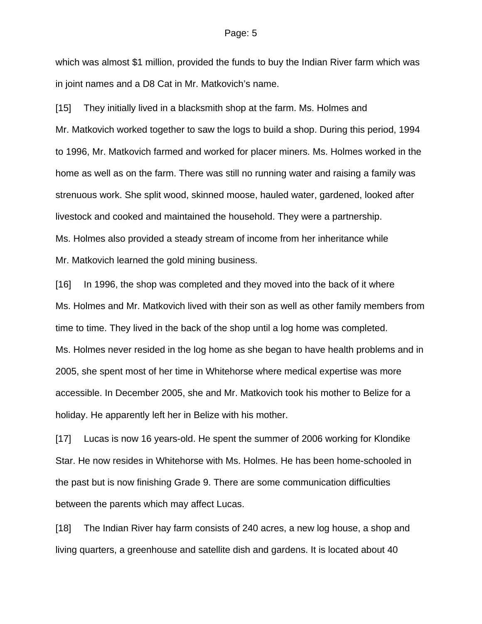which was almost \$1 million, provided the funds to buy the Indian River farm which was in joint names and a D8 Cat in Mr. Matkovich's name.

[15] They initially lived in a blacksmith shop at the farm. Ms. Holmes and Mr. Matkovich worked together to saw the logs to build a shop. During this period, 1994 to 1996, Mr. Matkovich farmed and worked for placer miners. Ms. Holmes worked in the home as well as on the farm. There was still no running water and raising a family was strenuous work. She split wood, skinned moose, hauled water, gardened, looked after livestock and cooked and maintained the household. They were a partnership. Ms. Holmes also provided a steady stream of income from her inheritance while Mr. Matkovich learned the gold mining business.

[16] In 1996, the shop was completed and they moved into the back of it where Ms. Holmes and Mr. Matkovich lived with their son as well as other family members from time to time. They lived in the back of the shop until a log home was completed. Ms. Holmes never resided in the log home as she began to have health problems and in 2005, she spent most of her time in Whitehorse where medical expertise was more accessible. In December 2005, she and Mr. Matkovich took his mother to Belize for a holiday. He apparently left her in Belize with his mother.

[17] Lucas is now 16 years-old. He spent the summer of 2006 working for Klondike Star. He now resides in Whitehorse with Ms. Holmes. He has been home-schooled in the past but is now finishing Grade 9. There are some communication difficulties between the parents which may affect Lucas.

[18] The Indian River hay farm consists of 240 acres, a new log house, a shop and living quarters, a greenhouse and satellite dish and gardens. It is located about 40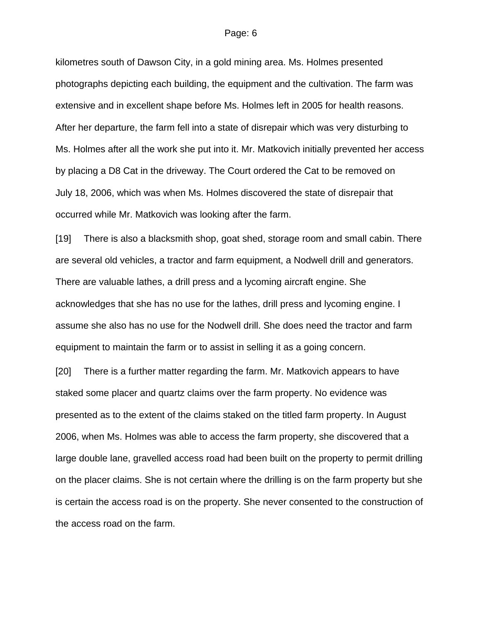kilometres south of Dawson City, in a gold mining area. Ms. Holmes presented photographs depicting each building, the equipment and the cultivation. The farm was extensive and in excellent shape before Ms. Holmes left in 2005 for health reasons. After her departure, the farm fell into a state of disrepair which was very disturbing to Ms. Holmes after all the work she put into it. Mr. Matkovich initially prevented her access by placing a D8 Cat in the driveway. The Court ordered the Cat to be removed on July 18, 2006, which was when Ms. Holmes discovered the state of disrepair that occurred while Mr. Matkovich was looking after the farm.

[19] There is also a blacksmith shop, goat shed, storage room and small cabin. There are several old vehicles, a tractor and farm equipment, a Nodwell drill and generators. There are valuable lathes, a drill press and a lycoming aircraft engine. She acknowledges that she has no use for the lathes, drill press and lycoming engine. I assume she also has no use for the Nodwell drill. She does need the tractor and farm equipment to maintain the farm or to assist in selling it as a going concern.

[20] There is a further matter regarding the farm. Mr. Matkovich appears to have staked some placer and quartz claims over the farm property. No evidence was presented as to the extent of the claims staked on the titled farm property. In August 2006, when Ms. Holmes was able to access the farm property, she discovered that a large double lane, gravelled access road had been built on the property to permit drilling on the placer claims. She is not certain where the drilling is on the farm property but she is certain the access road is on the property. She never consented to the construction of the access road on the farm.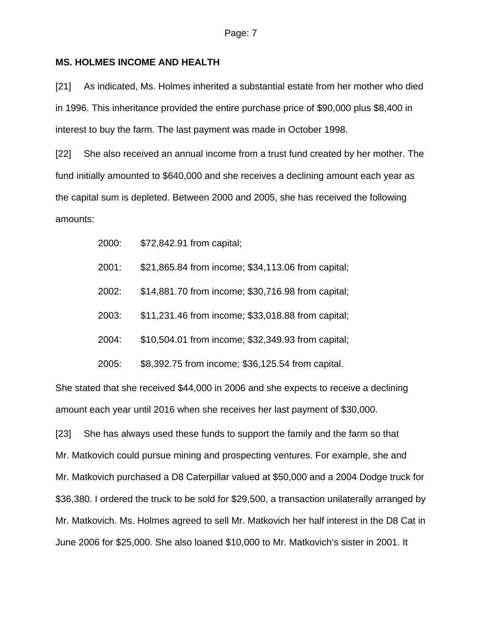#### **MS. HOLMES INCOME AND HEALTH**

[21] As indicated, Ms. Holmes inherited a substantial estate from her mother who died in 1996. This inheritance provided the entire purchase price of \$90,000 plus \$8,400 in interest to buy the farm. The last payment was made in October 1998.

[22] She also received an annual income from a trust fund created by her mother. The fund initially amounted to \$640,000 and she receives a declining amount each year as the capital sum is depleted. Between 2000 and 2005, she has received the following amounts:

- 2000: \$72,842.91 from capital;
- 2001: \$21,865.84 from income; \$34,113.06 from capital;
- 2002: \$14,881.70 from income; \$30,716.98 from capital;
- 2003: \$11,231.46 from income; \$33,018.88 from capital;
- 2004: \$10,504.01 from income; \$32,349.93 from capital;

2005: \$8,392.75 from income; \$36,125.54 from capital.

She stated that she received \$44,000 in 2006 and she expects to receive a declining amount each year until 2016 when she receives her last payment of \$30,000.

[23] She has always used these funds to support the family and the farm so that Mr. Matkovich could pursue mining and prospecting ventures. For example, she and Mr. Matkovich purchased a D8 Caterpillar valued at \$50,000 and a 2004 Dodge truck for \$36,380. I ordered the truck to be sold for \$29,500, a transaction unilaterally arranged by Mr. Matkovich. Ms. Holmes agreed to sell Mr. Matkovich her half interest in the D8 Cat in June 2006 for \$25,000. She also loaned \$10,000 to Mr. Matkovich's sister in 2001. It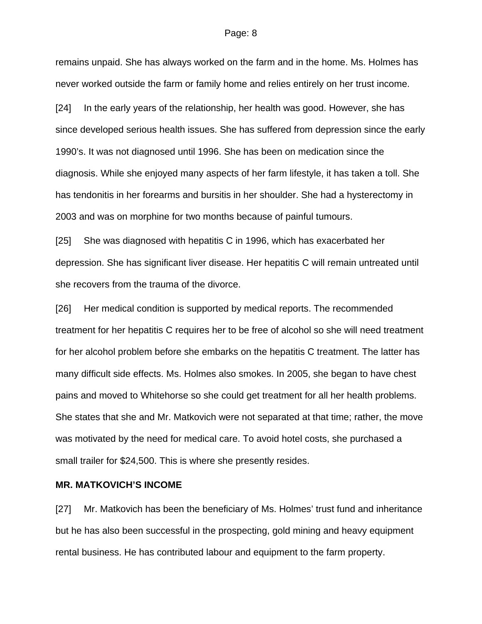remains unpaid. She has always worked on the farm and in the home. Ms. Holmes has never worked outside the farm or family home and relies entirely on her trust income.

[24] In the early years of the relationship, her health was good. However, she has since developed serious health issues. She has suffered from depression since the early 1990's. It was not diagnosed until 1996. She has been on medication since the diagnosis. While she enjoyed many aspects of her farm lifestyle, it has taken a toll. She has tendonitis in her forearms and bursitis in her shoulder. She had a hysterectomy in 2003 and was on morphine for two months because of painful tumours.

[25] She was diagnosed with hepatitis C in 1996, which has exacerbated her depression. She has significant liver disease. Her hepatitis C will remain untreated until she recovers from the trauma of the divorce.

[26] Her medical condition is supported by medical reports. The recommended treatment for her hepatitis C requires her to be free of alcohol so she will need treatment for her alcohol problem before she embarks on the hepatitis C treatment. The latter has many difficult side effects. Ms. Holmes also smokes. In 2005, she began to have chest pains and moved to Whitehorse so she could get treatment for all her health problems. She states that she and Mr. Matkovich were not separated at that time; rather, the move was motivated by the need for medical care. To avoid hotel costs, she purchased a small trailer for \$24,500. This is where she presently resides.

#### **MR. MATKOVICH'S INCOME**

[27] Mr. Matkovich has been the beneficiary of Ms. Holmes' trust fund and inheritance but he has also been successful in the prospecting, gold mining and heavy equipment rental business. He has contributed labour and equipment to the farm property.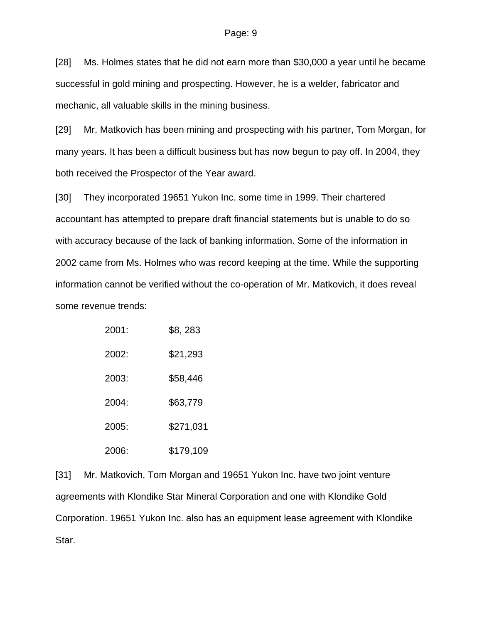[28] Ms. Holmes states that he did not earn more than \$30,000 a year until he became successful in gold mining and prospecting. However, he is a welder, fabricator and mechanic, all valuable skills in the mining business.

[29] Mr. Matkovich has been mining and prospecting with his partner, Tom Morgan, for many years. It has been a difficult business but has now begun to pay off. In 2004, they both received the Prospector of the Year award.

[30] They incorporated 19651 Yukon Inc. some time in 1999. Their chartered accountant has attempted to prepare draft financial statements but is unable to do so with accuracy because of the lack of banking information. Some of the information in 2002 came from Ms. Holmes who was record keeping at the time. While the supporting information cannot be verified without the co-operation of Mr. Matkovich, it does reveal some revenue trends:

| 2001: | \$8, 283  |
|-------|-----------|
| 2002: | \$21,293  |
| 2003: | \$58,446  |
| 2004: | \$63,779  |
| 2005: | \$271,031 |
| 2006: | \$179,109 |

[31] Mr. Matkovich, Tom Morgan and 19651 Yukon Inc. have two joint venture agreements with Klondike Star Mineral Corporation and one with Klondike Gold Corporation. 19651 Yukon Inc. also has an equipment lease agreement with Klondike Star.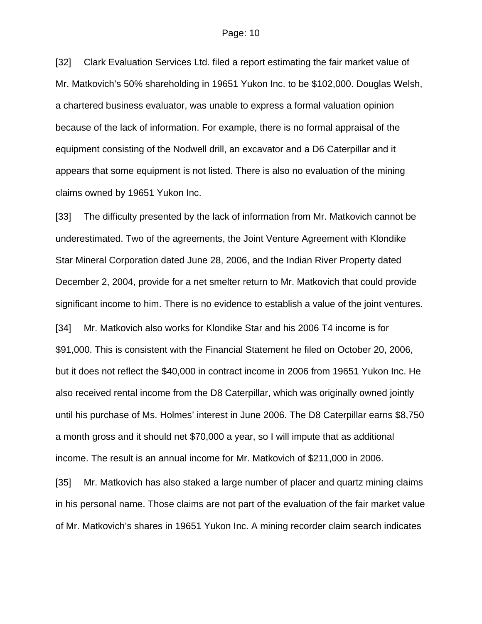[32] Clark Evaluation Services Ltd. filed a report estimating the fair market value of Mr. Matkovich's 50% shareholding in 19651 Yukon Inc. to be \$102,000. Douglas Welsh, a chartered business evaluator, was unable to express a formal valuation opinion because of the lack of information. For example, there is no formal appraisal of the equipment consisting of the Nodwell drill, an excavator and a D6 Caterpillar and it appears that some equipment is not listed. There is also no evaluation of the mining claims owned by 19651 Yukon Inc.

[33] The difficulty presented by the lack of information from Mr. Matkovich cannot be underestimated. Two of the agreements, the Joint Venture Agreement with Klondike Star Mineral Corporation dated June 28, 2006, and the Indian River Property dated December 2, 2004, provide for a net smelter return to Mr. Matkovich that could provide significant income to him. There is no evidence to establish a value of the joint ventures. [34] Mr. Matkovich also works for Klondike Star and his 2006 T4 income is for \$91,000. This is consistent with the Financial Statement he filed on October 20, 2006, but it does not reflect the \$40,000 in contract income in 2006 from 19651 Yukon Inc. He also received rental income from the D8 Caterpillar, which was originally owned jointly until his purchase of Ms. Holmes' interest in June 2006. The D8 Caterpillar earns \$8,750 a month gross and it should net \$70,000 a year, so I will impute that as additional income. The result is an annual income for Mr. Matkovich of \$211,000 in 2006.

[35] Mr. Matkovich has also staked a large number of placer and quartz mining claims in his personal name. Those claims are not part of the evaluation of the fair market value of Mr. Matkovich's shares in 19651 Yukon Inc. A mining recorder claim search indicates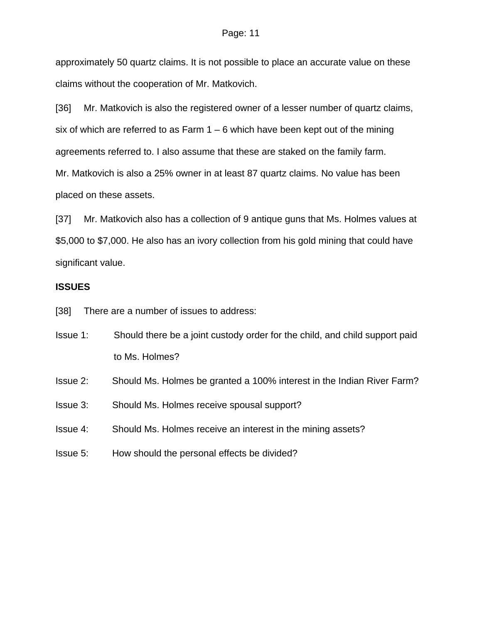approximately 50 quartz claims. It is not possible to place an accurate value on these claims without the cooperation of Mr. Matkovich.

[36] Mr. Matkovich is also the registered owner of a lesser number of quartz claims, six of which are referred to as Farm  $1 - 6$  which have been kept out of the mining agreements referred to. I also assume that these are staked on the family farm. Mr. Matkovich is also a 25% owner in at least 87 quartz claims. No value has been placed on these assets.

[37] Mr. Matkovich also has a collection of 9 antique guns that Ms. Holmes values at \$5,000 to \$7,000. He also has an ivory collection from his gold mining that could have significant value.

## **ISSUES**

[38] There are a number of issues to address:

- Issue 1: Should there be a joint custody order for the child, and child support paid to Ms. Holmes?
- Issue 2: Should Ms. Holmes be granted a 100% interest in the Indian River Farm?
- Issue 3: Should Ms. Holmes receive spousal support?
- Issue 4: Should Ms. Holmes receive an interest in the mining assets?
- Issue 5: How should the personal effects be divided?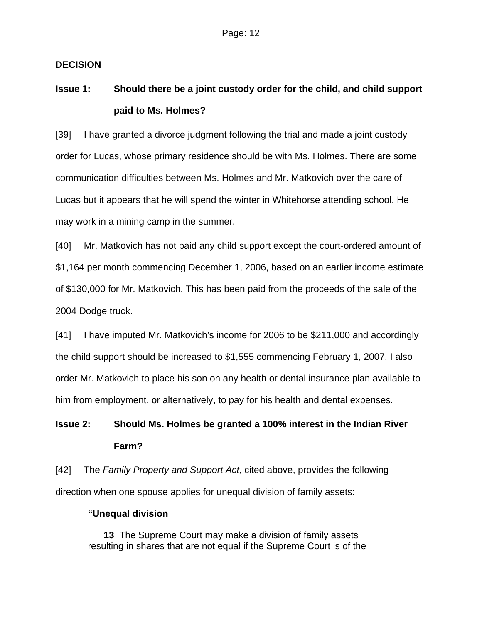## **DECISION**

# **Issue 1: Should there be a joint custody order for the child, and child support paid to Ms. Holmes?**

[39] I have granted a divorce judgment following the trial and made a joint custody order for Lucas, whose primary residence should be with Ms. Holmes. There are some communication difficulties between Ms. Holmes and Mr. Matkovich over the care of Lucas but it appears that he will spend the winter in Whitehorse attending school. He may work in a mining camp in the summer.

[40] Mr. Matkovich has not paid any child support except the court-ordered amount of \$1,164 per month commencing December 1, 2006, based on an earlier income estimate of \$130,000 for Mr. Matkovich. This has been paid from the proceeds of the sale of the 2004 Dodge truck.

[41] I have imputed Mr. Matkovich's income for 2006 to be \$211,000 and accordingly the child support should be increased to \$1,555 commencing February 1, 2007. I also order Mr. Matkovich to place his son on any health or dental insurance plan available to him from employment, or alternatively, to pay for his health and dental expenses.

# **Issue 2: Should Ms. Holmes be granted a 100% interest in the Indian River Farm?**

[42] The *Family Property and Support Act,* cited above, provides the following direction when one spouse applies for unequal division of family assets:

## **"Unequal division**

 **13** The Supreme Court may make a division of family assets resulting in shares that are not equal if the Supreme Court is of the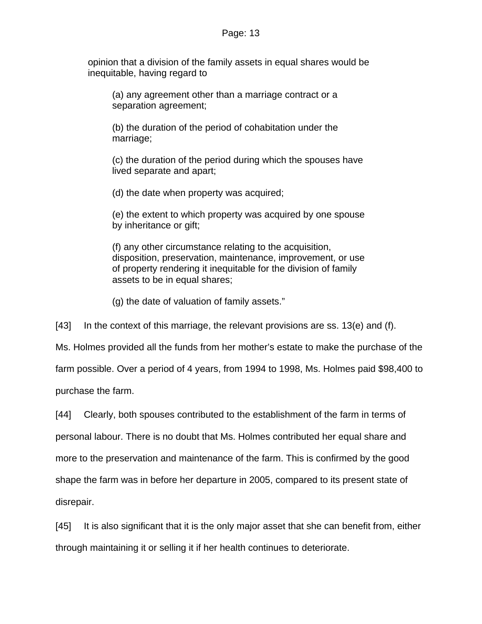opinion that a division of the family assets in equal shares would be inequitable, having regard to

 (a) any agreement other than a marriage contract or a separation agreement;

 (b) the duration of the period of cohabitation under the marriage;

 (c) the duration of the period during which the spouses have lived separate and apart;

(d) the date when property was acquired;

 (e) the extent to which property was acquired by one spouse by inheritance or gift;

 (f) any other circumstance relating to the acquisition, disposition, preservation, maintenance, improvement, or use of property rendering it inequitable for the division of family assets to be in equal shares;

(g) the date of valuation of family assets."

[43] In the context of this marriage, the relevant provisions are ss. 13(e) and (f).

Ms. Holmes provided all the funds from her mother's estate to make the purchase of the farm possible. Over a period of 4 years, from 1994 to 1998, Ms. Holmes paid \$98,400 to purchase the farm.

[44] Clearly, both spouses contributed to the establishment of the farm in terms of personal labour. There is no doubt that Ms. Holmes contributed her equal share and more to the preservation and maintenance of the farm. This is confirmed by the good shape the farm was in before her departure in 2005, compared to its present state of disrepair.

[45] It is also significant that it is the only major asset that she can benefit from, either through maintaining it or selling it if her health continues to deteriorate.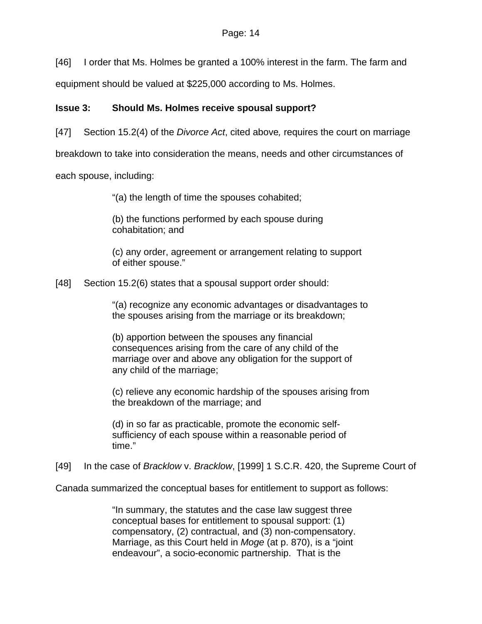[46] I order that Ms. Holmes be granted a 100% interest in the farm. The farm and

equipment should be valued at \$225,000 according to Ms. Holmes.

## **Issue 3: Should Ms. Holmes receive spousal support?**

[47] Section 15.2(4) of the *Divorce Act*, cited above*,* requires the court on marriage

breakdown to take into consideration the means, needs and other circumstances of

each spouse, including:

"(a) the length of time the spouses cohabited;

(b) the functions performed by each spouse during cohabitation; and

(c) any order, agreement or arrangement relating to support of either spouse."

[48] Section 15.2(6) states that a spousal support order should:

"(a) recognize any economic advantages or disadvantages to the spouses arising from the marriage or its breakdown;

(b) apportion between the spouses any financial consequences arising from the care of any child of the marriage over and above any obligation for the support of any child of the marriage;

(c) relieve any economic hardship of the spouses arising from the breakdown of the marriage; and

(d) in so far as practicable, promote the economic selfsufficiency of each spouse within a reasonable period of time."

[49] In the case of *Bracklow* v. *Bracklow*, [1999] 1 S.C.R. 420, the Supreme Court of

Canada summarized the conceptual bases for entitlement to support as follows:

"In summary, the statutes and the case law suggest three conceptual bases for entitlement to spousal support: (1) compensatory, (2) contractual, and (3) non-compensatory. Marriage, as this Court held in *Moge* (at p. 870), is a "joint endeavour", a socio-economic partnership. That is the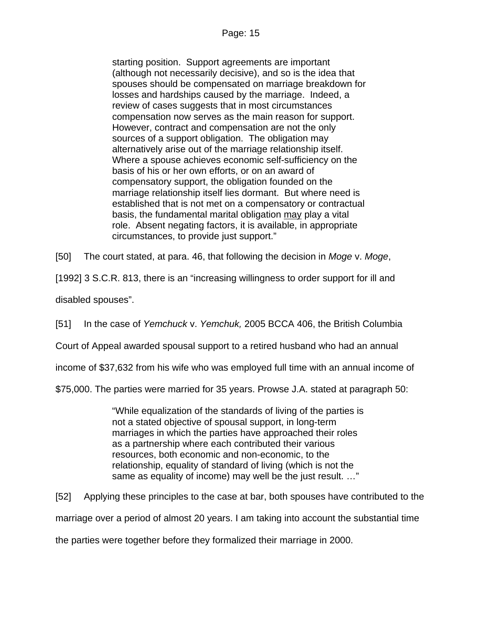starting position. Support agreements are important (although not necessarily decisive), and so is the idea that spouses should be compensated on marriage breakdown for losses and hardships caused by the marriage. Indeed, a review of cases suggests that in most circumstances compensation now serves as the main reason for support. However, contract and compensation are not the only sources of a support obligation. The obligation may alternatively arise out of the marriage relationship itself. Where a spouse achieves economic self-sufficiency on the basis of his or her own efforts, or on an award of compensatory support, the obligation founded on the marriage relationship itself lies dormant. But where need is established that is not met on a compensatory or contractual basis, the fundamental marital obligation may play a vital role. Absent negating factors, it is available, in appropriate circumstances, to provide just support."

[50] The court stated, at para. 46, that following the decision in *Moge* v. *Moge*,

[1992] 3 S.C.R. 813, there is an "increasing willingness to order support for ill and

disabled spouses".

[51] In the case of *Yemchuck* v. *Yemchuk,* 2005 BCCA 406, the British Columbia

Court of Appeal awarded spousal support to a retired husband who had an annual

income of \$37,632 from his wife who was employed full time with an annual income of

\$75,000. The parties were married for 35 years. Prowse J.A. stated at paragraph 50:

"While equalization of the standards of living of the parties is not a stated objective of spousal support, in long-term marriages in which the parties have approached their roles as a partnership where each contributed their various resources, both economic and non-economic, to the relationship, equality of standard of living (which is not the same as equality of income) may well be the just result. …"

[52] Applying these principles to the case at bar, both spouses have contributed to the

marriage over a period of almost 20 years. I am taking into account the substantial time

the parties were together before they formalized their marriage in 2000.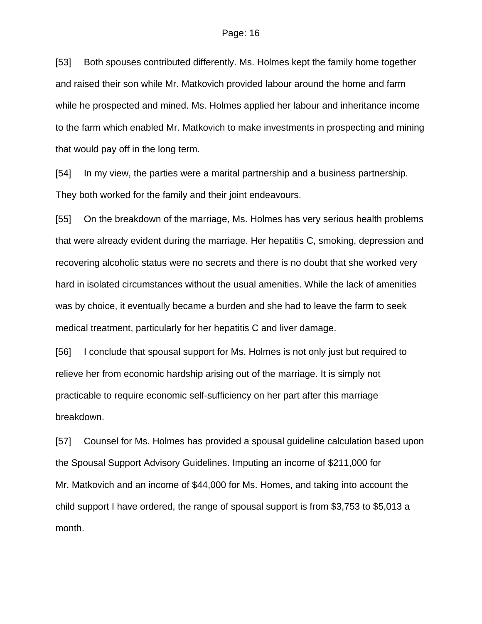[53] Both spouses contributed differently. Ms. Holmes kept the family home together and raised their son while Mr. Matkovich provided labour around the home and farm while he prospected and mined. Ms. Holmes applied her labour and inheritance income to the farm which enabled Mr. Matkovich to make investments in prospecting and mining that would pay off in the long term.

[54] In my view, the parties were a marital partnership and a business partnership. They both worked for the family and their joint endeavours.

[55] On the breakdown of the marriage, Ms. Holmes has very serious health problems that were already evident during the marriage. Her hepatitis C, smoking, depression and recovering alcoholic status were no secrets and there is no doubt that she worked very hard in isolated circumstances without the usual amenities. While the lack of amenities was by choice, it eventually became a burden and she had to leave the farm to seek medical treatment, particularly for her hepatitis C and liver damage.

[56] I conclude that spousal support for Ms. Holmes is not only just but required to relieve her from economic hardship arising out of the marriage. It is simply not practicable to require economic self-sufficiency on her part after this marriage breakdown.

[57] Counsel for Ms. Holmes has provided a spousal guideline calculation based upon the Spousal Support Advisory Guidelines. Imputing an income of \$211,000 for Mr. Matkovich and an income of \$44,000 for Ms. Homes, and taking into account the child support I have ordered, the range of spousal support is from \$3,753 to \$5,013 a month.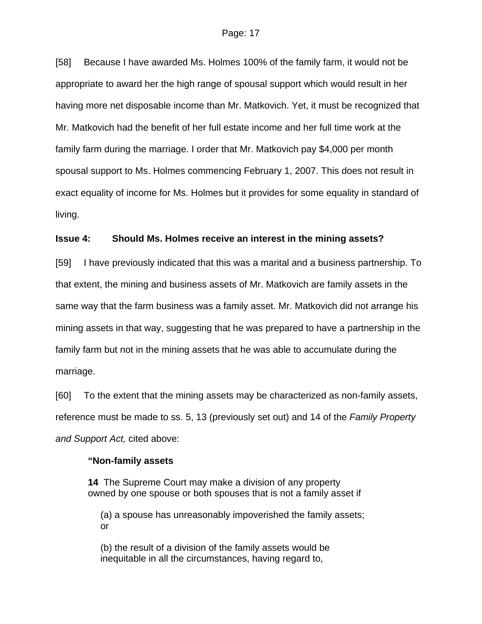[58] Because I have awarded Ms. Holmes 100% of the family farm, it would not be appropriate to award her the high range of spousal support which would result in her having more net disposable income than Mr. Matkovich. Yet, it must be recognized that Mr. Matkovich had the benefit of her full estate income and her full time work at the family farm during the marriage. I order that Mr. Matkovich pay \$4,000 per month spousal support to Ms. Holmes commencing February 1, 2007. This does not result in exact equality of income for Ms. Holmes but it provides for some equality in standard of living.

#### **Issue 4: Should Ms. Holmes receive an interest in the mining assets?**

[59] I have previously indicated that this was a marital and a business partnership. To that extent, the mining and business assets of Mr. Matkovich are family assets in the same way that the farm business was a family asset. Mr. Matkovich did not arrange his mining assets in that way, suggesting that he was prepared to have a partnership in the family farm but not in the mining assets that he was able to accumulate during the marriage.

[60] To the extent that the mining assets may be characterized as non-family assets, reference must be made to ss. 5, 13 (previously set out) and 14 of the *Family Property and Support Act,* cited above:

#### **"Non-family assets**

**14** The Supreme Court may make a division of any property owned by one spouse or both spouses that is not a family asset if

(a) a spouse has unreasonably impoverished the family assets; or

(b) the result of a division of the family assets would be inequitable in all the circumstances, having regard to,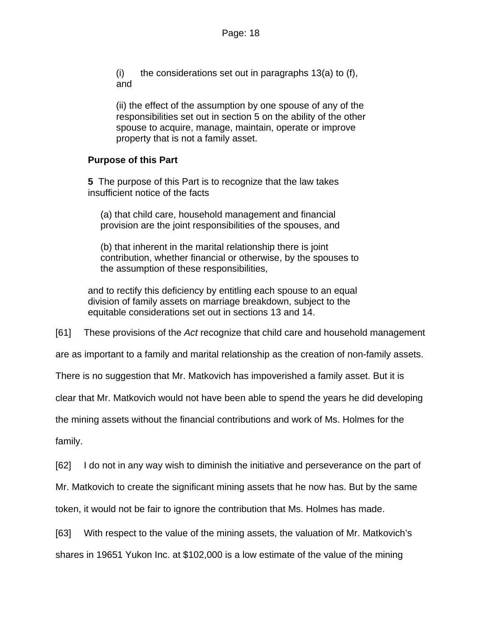$(i)$  the considerations set out in paragraphs 13(a) to (f), and

(ii) the effect of the assumption by one spouse of any of the responsibilities set out in section 5 on the ability of the other spouse to acquire, manage, maintain, operate or improve property that is not a family asset.

## **Purpose of this Part**

**5** The purpose of this Part is to recognize that the law takes insufficient notice of the facts

(a) that child care, household management and financial provision are the joint responsibilities of the spouses, and

(b) that inherent in the marital relationship there is joint contribution, whether financial or otherwise, by the spouses to the assumption of these responsibilities,

and to rectify this deficiency by entitling each spouse to an equal division of family assets on marriage breakdown, subject to the equitable considerations set out in sections 13 and 14.

[61] These provisions of the *Act* recognize that child care and household management

are as important to a family and marital relationship as the creation of non-family assets.

There is no suggestion that Mr. Matkovich has impoverished a family asset. But it is

clear that Mr. Matkovich would not have been able to spend the years he did developing

the mining assets without the financial contributions and work of Ms. Holmes for the

family.

[62] I do not in any way wish to diminish the initiative and perseverance on the part of

Mr. Matkovich to create the significant mining assets that he now has. But by the same

token, it would not be fair to ignore the contribution that Ms. Holmes has made.

[63] With respect to the value of the mining assets, the valuation of Mr. Matkovich's shares in 19651 Yukon Inc. at \$102,000 is a low estimate of the value of the mining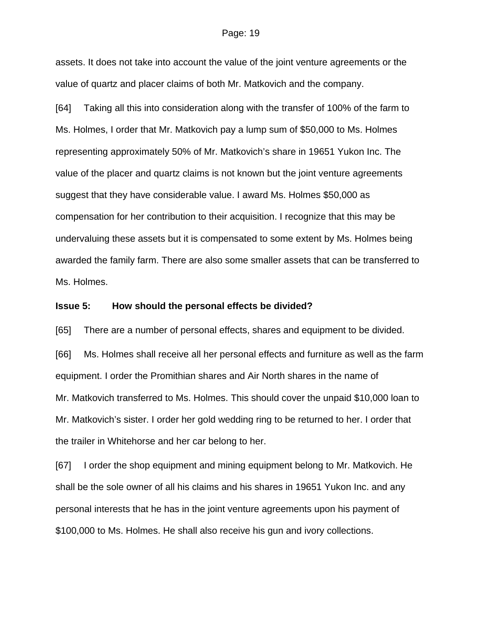assets. It does not take into account the value of the joint venture agreements or the value of quartz and placer claims of both Mr. Matkovich and the company.

[64] Taking all this into consideration along with the transfer of 100% of the farm to Ms. Holmes, I order that Mr. Matkovich pay a lump sum of \$50,000 to Ms. Holmes representing approximately 50% of Mr. Matkovich's share in 19651 Yukon Inc. The value of the placer and quartz claims is not known but the joint venture agreements suggest that they have considerable value. I award Ms. Holmes \$50,000 as compensation for her contribution to their acquisition. I recognize that this may be undervaluing these assets but it is compensated to some extent by Ms. Holmes being awarded the family farm. There are also some smaller assets that can be transferred to Ms. Holmes.

#### **Issue 5: How should the personal effects be divided?**

[65] There are a number of personal effects, shares and equipment to be divided.

[66] Ms. Holmes shall receive all her personal effects and furniture as well as the farm equipment. I order the Promithian shares and Air North shares in the name of Mr. Matkovich transferred to Ms. Holmes. This should cover the unpaid \$10,000 loan to Mr. Matkovich's sister. I order her gold wedding ring to be returned to her. I order that the trailer in Whitehorse and her car belong to her.

[67] I order the shop equipment and mining equipment belong to Mr. Matkovich. He shall be the sole owner of all his claims and his shares in 19651 Yukon Inc. and any personal interests that he has in the joint venture agreements upon his payment of \$100,000 to Ms. Holmes. He shall also receive his gun and ivory collections.